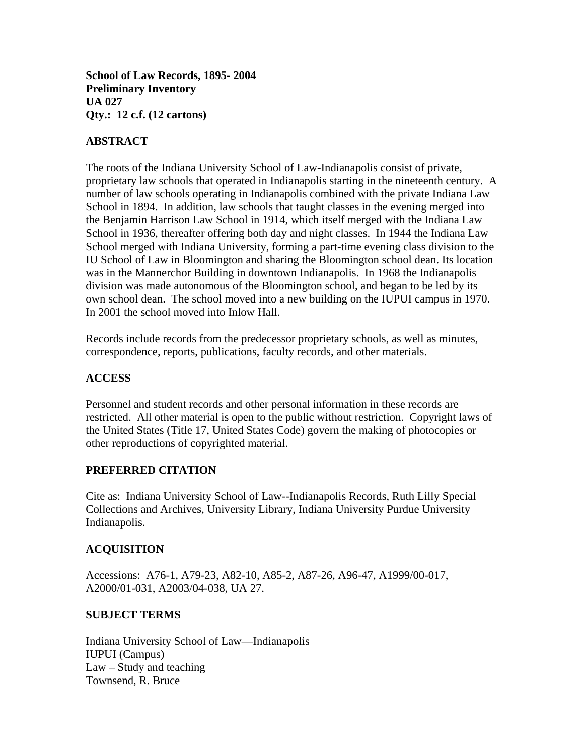**School of Law Records, 1895- 2004 Preliminary Inventory UA 027 Qty.: 12 c.f. (12 cartons)** 

# **ABSTRACT**

The roots of the Indiana University School of Law-Indianapolis consist of private, proprietary law schools that operated in Indianapolis starting in the nineteenth century. A number of law schools operating in Indianapolis combined with the private Indiana Law School in 1894. In addition, law schools that taught classes in the evening merged into the Benjamin Harrison Law School in 1914, which itself merged with the Indiana Law School in 1936, thereafter offering both day and night classes. In 1944 the Indiana Law School merged with Indiana University, forming a part-time evening class division to the IU School of Law in Bloomington and sharing the Bloomington school dean. Its location was in the Mannerchor Building in downtown Indianapolis. In 1968 the Indianapolis division was made autonomous of the Bloomington school, and began to be led by its own school dean. The school moved into a new building on the IUPUI campus in 1970. In 2001 the school moved into Inlow Hall.

Records include records from the predecessor proprietary schools, as well as minutes, correspondence, reports, publications, faculty records, and other materials.

## **ACCESS**

Personnel and student records and other personal information in these records are restricted. All other material is open to the public without restriction. Copyright laws of the United States (Title 17, United States Code) govern the making of photocopies or other reproductions of copyrighted material.

#### **PREFERRED CITATION**

Cite as: Indiana University School of Law--Indianapolis Records, Ruth Lilly Special Collections and Archives, University Library, Indiana University Purdue University Indianapolis.

## **ACQUISITION**

Accessions: A76-1, A79-23, A82-10, A85-2, A87-26, A96-47, A1999/00-017, A2000/01-031, A2003/04-038, UA 27.

#### **SUBJECT TERMS**

Indiana University School of Law—Indianapolis IUPUI (Campus) Law – Study and teaching Townsend, R. Bruce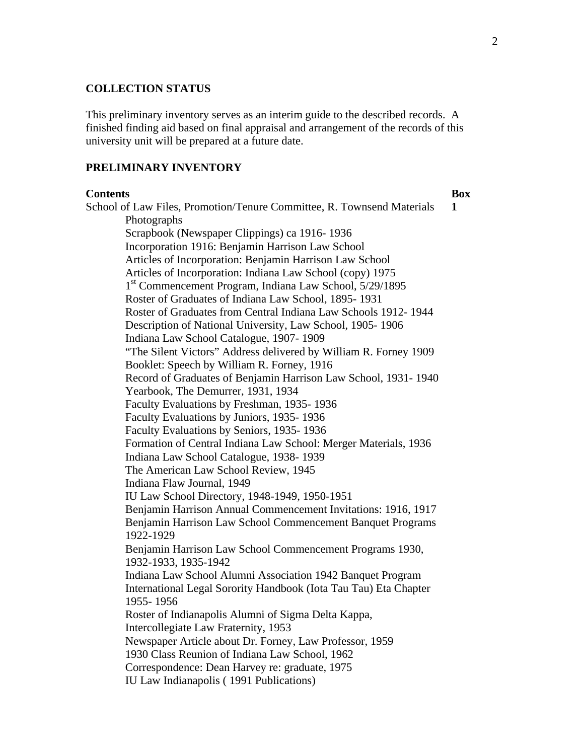### **COLLECTION STATUS**

This preliminary inventory serves as an interim guide to the described records. A finished finding aid based on final appraisal and arrangement of the records of this university unit will be prepared at a future date.

### **PRELIMINARY INVENTORY**

#### **Contents** Box

School of Law Files, Promotion/Tenure Committee, R. Townsend Materials **1**  Photographs Scrapbook (Newspaper Clippings) ca 1916- 1936 Incorporation 1916: Benjamin Harrison Law School Articles of Incorporation: Benjamin Harrison Law School Articles of Incorporation: Indiana Law School (copy) 1975 1st Commencement Program, Indiana Law School, 5/29/1895 Roster of Graduates of Indiana Law School, 1895- 1931 Roster of Graduates from Central Indiana Law Schools 1912- 1944 Description of National University, Law School, 1905- 1906 Indiana Law School Catalogue, 1907- 1909 "The Silent Victors" Address delivered by William R. Forney 1909 Booklet: Speech by William R. Forney, 1916 Record of Graduates of Benjamin Harrison Law School, 1931- 1940 Yearbook, The Demurrer, 1931, 1934 Faculty Evaluations by Freshman, 1935- 1936 Faculty Evaluations by Juniors, 1935- 1936 Faculty Evaluations by Seniors, 1935- 1936 Formation of Central Indiana Law School: Merger Materials, 1936 Indiana Law School Catalogue, 1938- 1939 The American Law School Review, 1945 Indiana Flaw Journal, 1949 IU Law School Directory, 1948-1949, 1950-1951 Benjamin Harrison Annual Commencement Invitations: 1916, 1917 Benjamin Harrison Law School Commencement Banquet Programs 1922-1929 Benjamin Harrison Law School Commencement Programs 1930, 1932-1933, 1935-1942 Indiana Law School Alumni Association 1942 Banquet Program International Legal Sorority Handbook (Iota Tau Tau) Eta Chapter 1955- 1956 Roster of Indianapolis Alumni of Sigma Delta Kappa, Intercollegiate Law Fraternity, 1953 Newspaper Article about Dr. Forney, Law Professor, 1959 1930 Class Reunion of Indiana Law School, 1962 Correspondence: Dean Harvey re: graduate, 1975 IU Law Indianapolis ( 1991 Publications)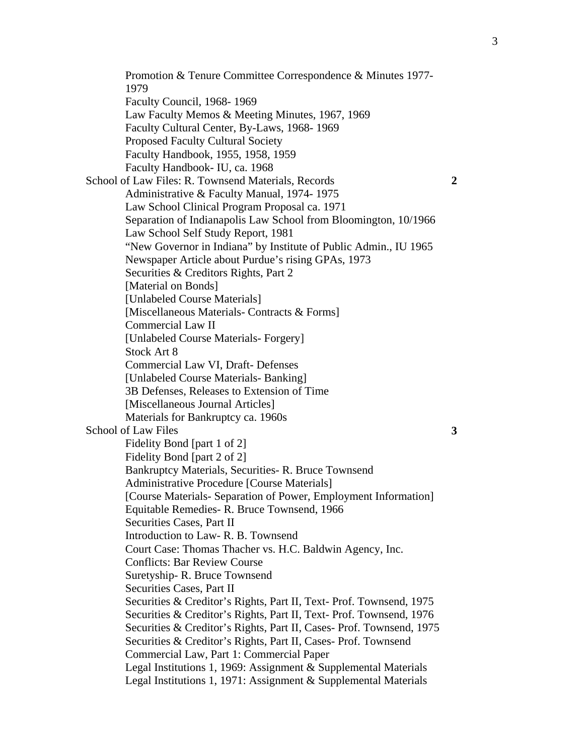Promotion & Tenure Committee Correspondence & Minutes 1977- 1979 Faculty Council, 1968- 1969 Law Faculty Memos & Meeting Minutes, 1967, 1969 Faculty Cultural Center, By-Laws, 1968- 1969 Proposed Faculty Cultural Society Faculty Handbook, 1955, 1958, 1959 Faculty Handbook- IU, ca. 1968 School of Law Files: R. Townsend Materials, Records **2**  Administrative & Faculty Manual, 1974- 1975 Law School Clinical Program Proposal ca. 1971 Separation of Indianapolis Law School from Bloomington, 10/1966 Law School Self Study Report, 1981 "New Governor in Indiana" by Institute of Public Admin., IU 1965 Newspaper Article about Purdue's rising GPAs, 1973 Securities & Creditors Rights, Part 2 [Material on Bonds] [Unlabeled Course Materials] [Miscellaneous Materials- Contracts & Forms] Commercial Law II [Unlabeled Course Materials- Forgery] Stock Art 8 Commercial Law VI, Draft- Defenses [Unlabeled Course Materials- Banking] 3B Defenses, Releases to Extension of Time [Miscellaneous Journal Articles] Materials for Bankruptcy ca. 1960s School of Law Files **3** Fidelity Bond [part 1 of 2] Fidelity Bond [part 2 of 2] Bankruptcy Materials, Securities- R. Bruce Townsend Administrative Procedure [Course Materials] [Course Materials- Separation of Power, Employment Information] Equitable Remedies- R. Bruce Townsend, 1966 Securities Cases, Part II Introduction to Law- R. B. Townsend Court Case: Thomas Thacher vs. H.C. Baldwin Agency, Inc. Conflicts: Bar Review Course Suretyship- R. Bruce Townsend Securities Cases, Part II Securities & Creditor's Rights, Part II, Text- Prof. Townsend, 1975 Securities & Creditor's Rights, Part II, Text- Prof. Townsend, 1976 Securities & Creditor's Rights, Part II, Cases- Prof. Townsend, 1975 Securities & Creditor's Rights, Part II, Cases- Prof. Townsend Commercial Law, Part 1: Commercial Paper Legal Institutions 1, 1969: Assignment & Supplemental Materials Legal Institutions 1, 1971: Assignment & Supplemental Materials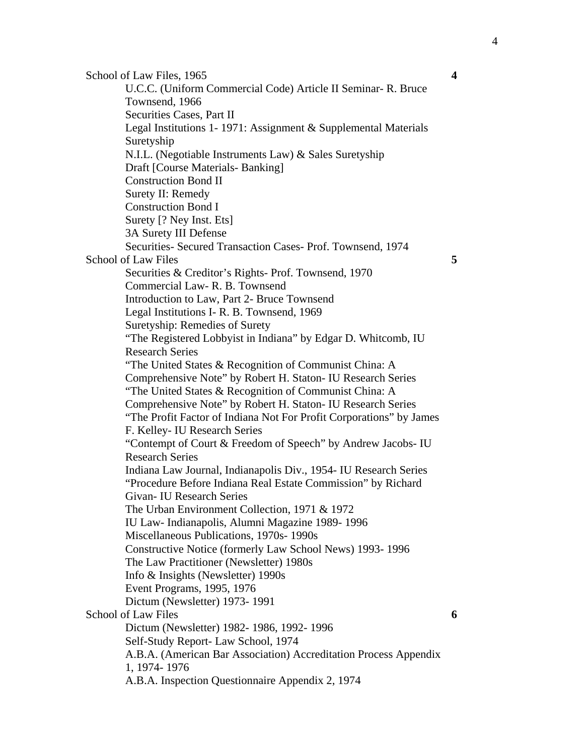School of Law Files, 1965 **4 4** U.C.C. (Uniform Commercial Code) Article II Seminar- R. Bruce Townsend, 1966 Securities Cases, Part II Legal Institutions 1- 1971: Assignment & Supplemental Materials Suretyship N.I.L. (Negotiable Instruments Law) & Sales Suretyship Draft [Course Materials- Banking] Construction Bond II Surety II: Remedy Construction Bond I Surety [? Ney Inst. Ets] 3A Surety III Defense Securities- Secured Transaction Cases- Prof. Townsend, 1974 School of Law Files **5**  Securities & Creditor's Rights- Prof. Townsend, 1970 Commercial Law- R. B. Townsend Introduction to Law, Part 2- Bruce Townsend Legal Institutions I- R. B. Townsend, 1969 Suretyship: Remedies of Surety "The Registered Lobbyist in Indiana" by Edgar D. Whitcomb, IU Research Series "The United States & Recognition of Communist China: A Comprehensive Note" by Robert H. Staton- IU Research Series "The United States & Recognition of Communist China: A Comprehensive Note" by Robert H. Staton- IU Research Series "The Profit Factor of Indiana Not For Profit Corporations" by James F. Kelley- IU Research Series "Contempt of Court & Freedom of Speech" by Andrew Jacobs- IU Research Series Indiana Law Journal, Indianapolis Div., 1954- IU Research Series "Procedure Before Indiana Real Estate Commission" by Richard Givan- IU Research Series The Urban Environment Collection, 1971 & 1972 IU Law- Indianapolis, Alumni Magazine 1989- 1996 Miscellaneous Publications, 1970s- 1990s Constructive Notice (formerly Law School News) 1993- 1996 The Law Practitioner (Newsletter) 1980s Info & Insights (Newsletter) 1990s Event Programs, 1995, 1976 Dictum (Newsletter) 1973- 1991 School of Law Files **6** Dictum (Newsletter) 1982- 1986, 1992- 1996 Self-Study Report- Law School, 1974 A.B.A. (American Bar Association) Accreditation Process Appendix 1, 1974- 1976 A.B.A. Inspection Questionnaire Appendix 2, 1974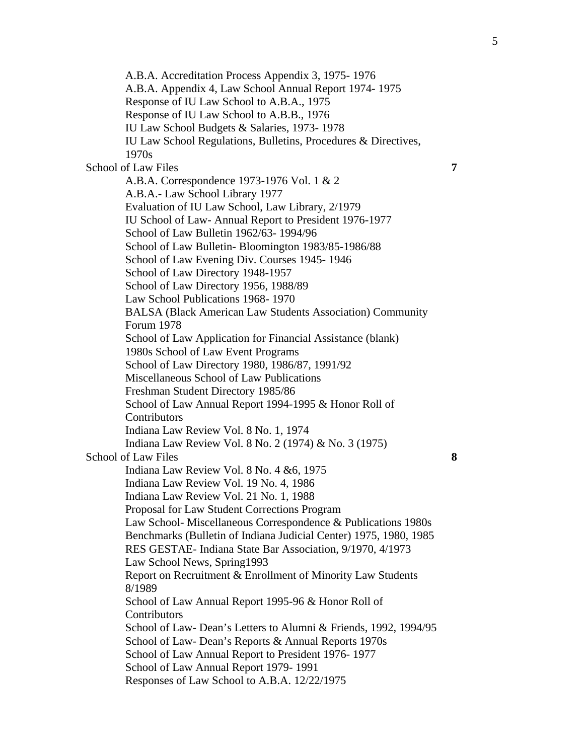A.B.A. Accreditation Process Appendix 3, 1975- 1976 A.B.A. Appendix 4, Law School Annual Report 1974- 1975 Response of IU Law School to A.B.A., 1975 Response of IU Law School to A.B.B., 1976 IU Law School Budgets & Salaries, 1973- 1978 IU Law School Regulations, Bulletins, Procedures & Directives, 1970s School of Law Files **7** A.B.A. Correspondence 1973-1976 Vol. 1 & 2 A.B.A.- Law School Library 1977 Evaluation of IU Law School, Law Library, 2/1979 IU School of Law- Annual Report to President 1976-1977 School of Law Bulletin 1962/63- 1994/96 School of Law Bulletin- Bloomington 1983/85-1986/88 School of Law Evening Div. Courses 1945- 1946 School of Law Directory 1948-1957 School of Law Directory 1956, 1988/89 Law School Publications 1968- 1970 BALSA (Black American Law Students Association) Community Forum 1978 School of Law Application for Financial Assistance (blank) 1980s School of Law Event Programs School of Law Directory 1980, 1986/87, 1991/92 Miscellaneous School of Law Publications Freshman Student Directory 1985/86 School of Law Annual Report 1994-1995 & Honor Roll of Contributors Indiana Law Review Vol. 8 No. 1, 1974 Indiana Law Review Vol. 8 No. 2 (1974) & No. 3 (1975) School of Law Files **8**  Indiana Law Review Vol. 8 No. 4 &6, 1975 Indiana Law Review Vol. 19 No. 4, 1986 Indiana Law Review Vol. 21 No. 1, 1988 Proposal for Law Student Corrections Program Law School- Miscellaneous Correspondence & Publications 1980s Benchmarks (Bulletin of Indiana Judicial Center) 1975, 1980, 1985 RES GESTAE- Indiana State Bar Association, 9/1970, 4/1973 Law School News, Spring1993 Report on Recruitment & Enrollment of Minority Law Students 8/1989 School of Law Annual Report 1995-96 & Honor Roll of Contributors School of Law- Dean's Letters to Alumni & Friends, 1992, 1994/95 School of Law- Dean's Reports & Annual Reports 1970s School of Law Annual Report to President 1976- 1977 School of Law Annual Report 1979- 1991 Responses of Law School to A.B.A. 12/22/1975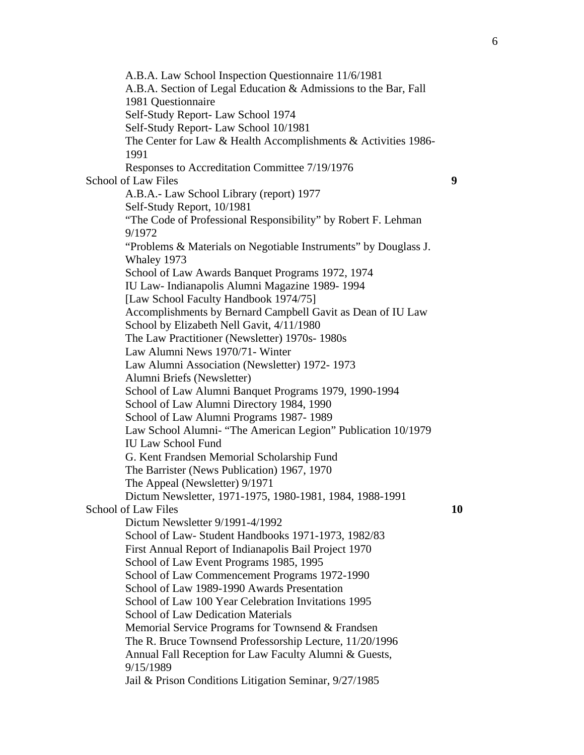A.B.A. Law School Inspection Questionnaire 11/6/1981 A.B.A. Section of Legal Education & Admissions to the Bar, Fall 1981 Questionnaire Self-Study Report- Law School 1974 Self-Study Report- Law School 10/1981 The Center for Law & Health Accomplishments & Activities 1986- 1991 Responses to Accreditation Committee 7/19/1976 School of Law Files **9**  A.B.A.- Law School Library (report) 1977 Self-Study Report, 10/1981 "The Code of Professional Responsibility" by Robert F. Lehman 9/1972 "Problems & Materials on Negotiable Instruments" by Douglass J. Whaley 1973 School of Law Awards Banquet Programs 1972, 1974 IU Law- Indianapolis Alumni Magazine 1989- 1994 [Law School Faculty Handbook 1974/75] Accomplishments by Bernard Campbell Gavit as Dean of IU Law School by Elizabeth Nell Gavit, 4/11/1980 The Law Practitioner (Newsletter) 1970s- 1980s Law Alumni News 1970/71- Winter Law Alumni Association (Newsletter) 1972- 1973 Alumni Briefs (Newsletter) School of Law Alumni Banquet Programs 1979, 1990-1994 School of Law Alumni Directory 1984, 1990 School of Law Alumni Programs 1987- 1989 Law School Alumni- "The American Legion" Publication 10/1979 IU Law School Fund G. Kent Frandsen Memorial Scholarship Fund The Barrister (News Publication) 1967, 1970 The Appeal (Newsletter) 9/1971 Dictum Newsletter, 1971-1975, 1980-1981, 1984, 1988-1991 School of Law Files **10 10** Dictum Newsletter 9/1991-4/1992 School of Law- Student Handbooks 1971-1973, 1982/83 First Annual Report of Indianapolis Bail Project 1970 School of Law Event Programs 1985, 1995 School of Law Commencement Programs 1972-1990 School of Law 1989-1990 Awards Presentation School of Law 100 Year Celebration Invitations 1995 School of Law Dedication Materials Memorial Service Programs for Townsend & Frandsen The R. Bruce Townsend Professorship Lecture, 11/20/1996 Annual Fall Reception for Law Faculty Alumni & Guests, 9/15/1989 Jail & Prison Conditions Litigation Seminar, 9/27/1985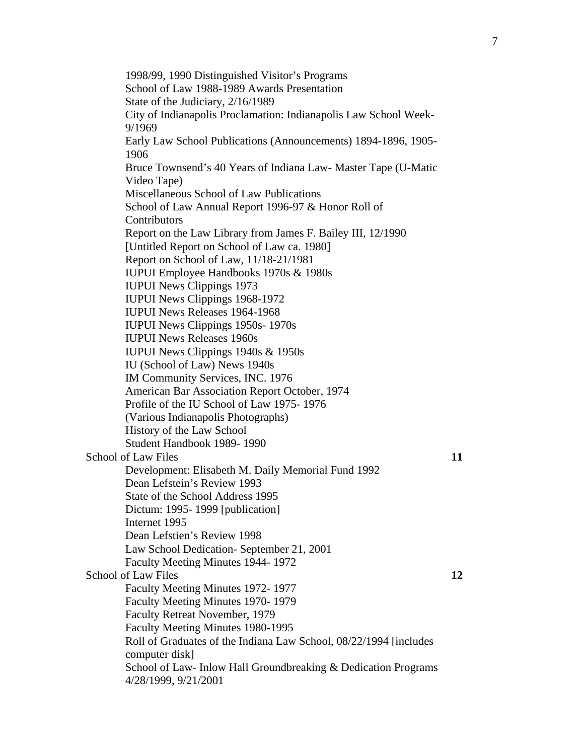1998/99, 1990 Distinguished Visitor's Programs School of Law 1988-1989 Awards Presentation State of the Judiciary, 2/16/1989 City of Indianapolis Proclamation: Indianapolis Law School Week-9/1969 Early Law School Publications (Announcements) 1894-1896, 1905- 1906 Bruce Townsend's 40 Years of Indiana Law- Master Tape (U-Matic Video Tape) Miscellaneous School of Law Publications School of Law Annual Report 1996-97 & Honor Roll of **Contributors** Report on the Law Library from James F. Bailey III, 12/1990 [Untitled Report on School of Law ca. 1980] Report on School of Law, 11/18-21/1981 IUPUI Employee Handbooks 1970s & 1980s IUPUI News Clippings 1973 IUPUI News Clippings 1968-1972 IUPUI News Releases 1964-1968 IUPUI News Clippings 1950s- 1970s IUPUI News Releases 1960s IUPUI News Clippings 1940s & 1950s IU (School of Law) News 1940s IM Community Services, INC. 1976 American Bar Association Report October, 1974 Profile of the IU School of Law 1975- 1976 (Various Indianapolis Photographs) History of the Law School Student Handbook 1989- 1990 School of Law Files **11** Development: Elisabeth M. Daily Memorial Fund 1992 Dean Lefstein's Review 1993 State of the School Address 1995 Dictum: 1995- 1999 [publication] Internet 1995 Dean Lefstien's Review 1998 Law School Dedication- September 21, 2001 Faculty Meeting Minutes 1944- 1972 School of Law Files **12 12** Faculty Meeting Minutes 1972- 1977 Faculty Meeting Minutes 1970- 1979 Faculty Retreat November, 1979 Faculty Meeting Minutes 1980-1995 Roll of Graduates of the Indiana Law School, 08/22/1994 [includes computer disk] School of Law- Inlow Hall Groundbreaking & Dedication Programs 4/28/1999, 9/21/2001